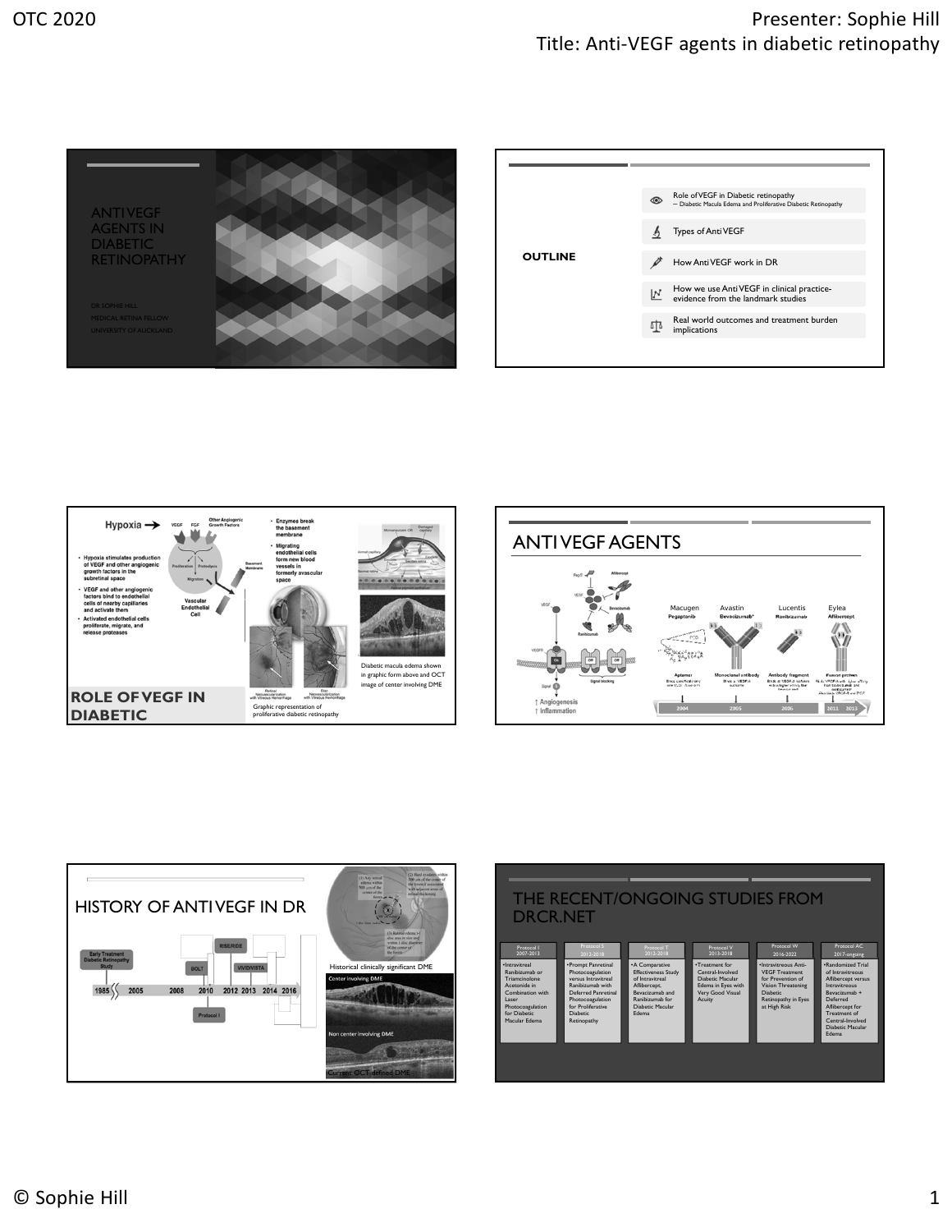

| <b>OUTLINE</b> | $\circledcirc$ | Role of VEGF in Diabetic retinopathy<br>- Diabetic Macula Edema and Proliferative Diabetic Retinopathy |
|----------------|----------------|--------------------------------------------------------------------------------------------------------|
|                |                | Types of Anti VEGF                                                                                     |
|                |                | How Anti VEGF work in DR                                                                               |
|                | $\mathbf{N}$   | How we use AntiVEGF in clinical practice-<br>evidence from the landmark studies                        |
|                | 파              | Real world outcomes and treatment burden<br>implications                                               |
|                |                |                                                                                                        |